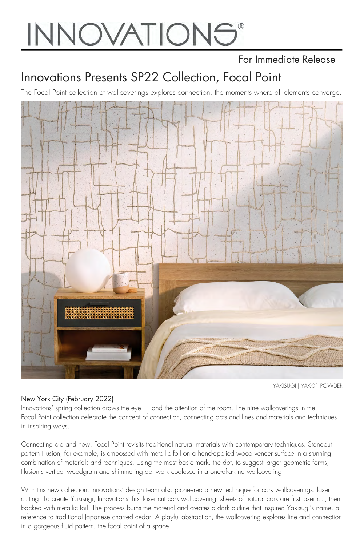# **INNOVATIONS®**

### For Immediate Release

## Innovations Presents SP22 Collection, Focal Point

The Focal Point collection of wallcoverings explores connection, the moments where all elements converge.



#### [YAKISUGI | YAK-01 POWDER](https://innovationsusa.com/item/yakisugi)

#### New York City (February 2022)

Innovations' spring collection draws the eye — and the attention of the room. The nine wallcoverings in the Focal Point collection celebrate the concept of connection, connecting dots and lines and materials and techniques in inspiring ways.

Connecting old and new, Focal Point revisits traditional natural materials with contemporary techniques. Standout pattern Illusion, for example, is embossed with metallic foil on a hand-applied wood veneer surface in a stunning combination of materials and techniques. Using the most basic mark, the dot, to suggest larger geometric forms, Illusion's vertical woodgrain and shimmering dot work coalesce in a one-of-a-kind wallcovering.

With this new collection, Innovations' design team also pioneered a new technique for cork wallcoverings: laser cutting. To create Yakisugi, Innovations' first laser cut cork wallcovering, sheets of natural cork are first laser cut, then backed with metallic foil. The process burns the material and creates a dark outline that inspired Yakisugi's name, a reference to traditional Japanese charred cedar. A playful abstraction, the wallcovering explores line and connection in a gorgeous fluid pattern, the focal point of a space.